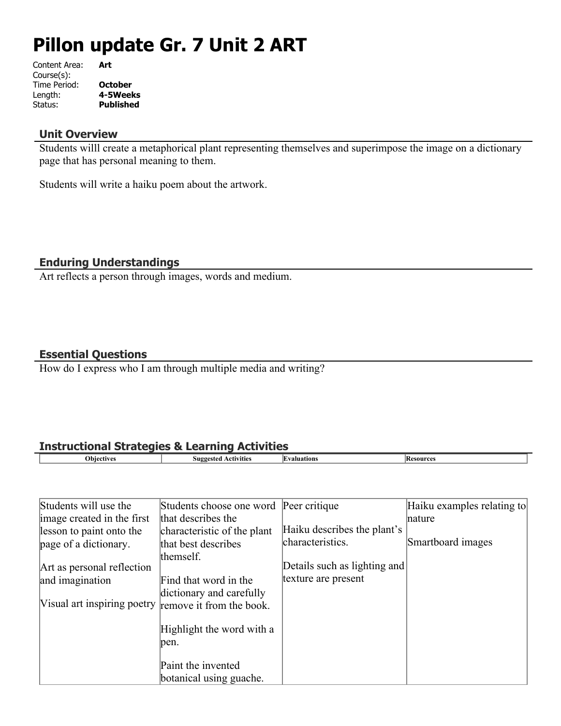# **Pillon update Gr. 7 Unit 2 ART**

| Art              |
|------------------|
|                  |
| <b>October</b>   |
| 4-5Weeks         |
| <b>Published</b> |
|                  |

#### **Unit Overview**

Students willl create a metaphorical plant representing themselves and superimpose the image on a dictionary page that has personal meaning to them.

Students will write a haiku poem about the artwork.

### **Enduring Understandings**

Art reflects a person through images, words and medium.

#### **Essential Questions**

How do I express who I am through multiple media and writing?

# **Instructional Strategies & Learning Activities**

| ___<br>___<br>___ |                          | ___ |        |
|-------------------|--------------------------|-----|--------|
| 100T1             | H<br>11100<br>ንናተሰጠ<br>. |     | source |
|                   |                          |     |        |

| Students will use the       | Students choose one word Peer critique |                              | Haiku examples relating to |
|-----------------------------|----------------------------------------|------------------------------|----------------------------|
| image created in the first  | that describes the                     |                              | nature                     |
| lesson to paint onto the    | characteristic of the plant            | Haiku describes the plant's  |                            |
| page of a dictionary.       | that best describes                    | characteristics.             | Smartboard images          |
|                             | themself.                              |                              |                            |
| Art as personal reflection  |                                        | Details such as lighting and |                            |
| and imagination             | Find that word in the                  | texture are present          |                            |
|                             | dictionary and carefully               |                              |                            |
| Visual art inspiring poetry | remove it from the book.               |                              |                            |
|                             | Highlight the word with a<br>pen.      |                              |                            |
|                             | Paint the invented                     |                              |                            |
|                             | botanical using guache.                |                              |                            |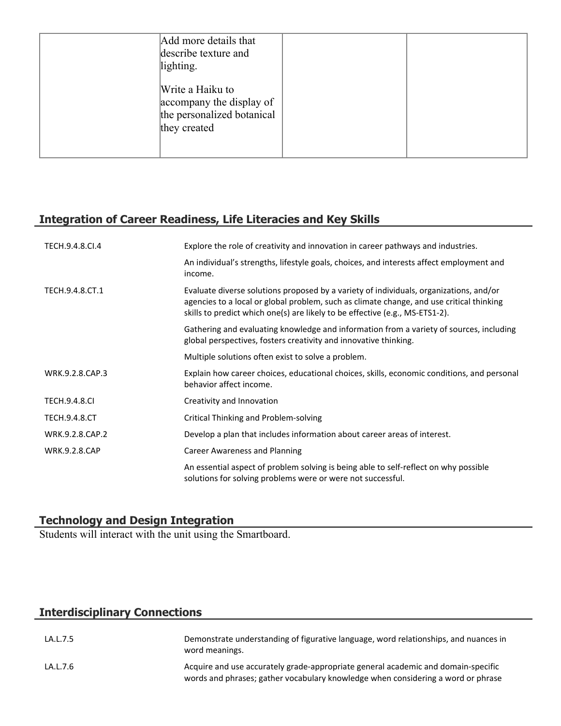| Add more details that<br>describe texture and<br>lighting.                                 |  |
|--------------------------------------------------------------------------------------------|--|
| Write a Haiku to<br>accompany the display of<br>the personalized botanical<br>they created |  |

# **Integration of Career Readiness, Life Literacies and Key Skills**

| TECH.9.4.8.CI.4      | Explore the role of creativity and innovation in career pathways and industries.                                                                                                                                                                                   |
|----------------------|--------------------------------------------------------------------------------------------------------------------------------------------------------------------------------------------------------------------------------------------------------------------|
|                      | An individual's strengths, lifestyle goals, choices, and interests affect employment and<br>income.                                                                                                                                                                |
| TECH.9.4.8.CT.1      | Evaluate diverse solutions proposed by a variety of individuals, organizations, and/or<br>agencies to a local or global problem, such as climate change, and use critical thinking<br>skills to predict which one(s) are likely to be effective (e.g., MS-ETS1-2). |
|                      | Gathering and evaluating knowledge and information from a variety of sources, including<br>global perspectives, fosters creativity and innovative thinking.                                                                                                        |
|                      | Multiple solutions often exist to solve a problem.                                                                                                                                                                                                                 |
| WRK.9.2.8.CAP.3      | Explain how career choices, educational choices, skills, economic conditions, and personal<br>behavior affect income.                                                                                                                                              |
| <b>TECH.9.4.8.CI</b> | Creativity and Innovation                                                                                                                                                                                                                                          |
| <b>TECH.9.4.8.CT</b> | Critical Thinking and Problem-solving                                                                                                                                                                                                                              |
| WRK.9.2.8.CAP.2      | Develop a plan that includes information about career areas of interest.                                                                                                                                                                                           |
| <b>WRK.9.2.8.CAP</b> | <b>Career Awareness and Planning</b>                                                                                                                                                                                                                               |
|                      | An essential aspect of problem solving is being able to self-reflect on why possible<br>solutions for solving problems were or were not successful.                                                                                                                |

### **Technology and Design Integration**

Students will interact with the unit using the Smartboard.

# **Interdisciplinary Connections**

| LA.L.7.5 | Demonstrate understanding of figurative language, word relationships, and nuances in<br>word meanings.                                                                |
|----------|-----------------------------------------------------------------------------------------------------------------------------------------------------------------------|
| LA.L.7.6 | Acquire and use accurately grade-appropriate general academic and domain-specific<br>words and phrases; gather vocabulary knowledge when considering a word or phrase |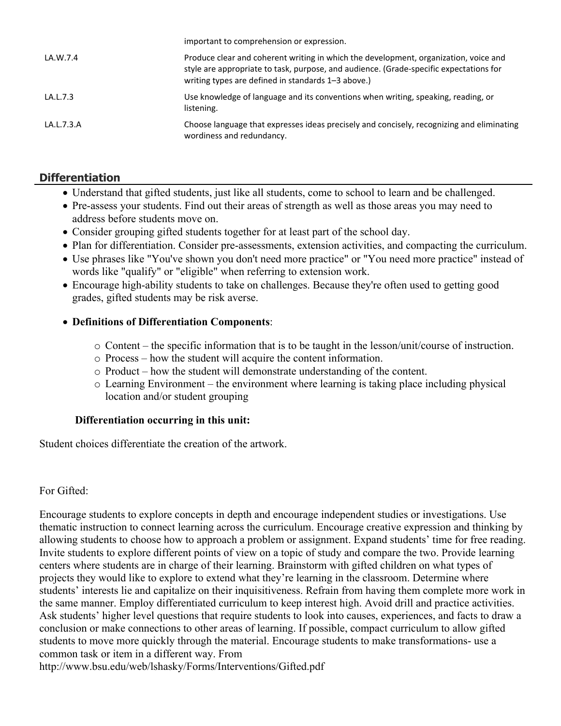|            | important to comprehension or expression.                                                                                                                                                                                            |
|------------|--------------------------------------------------------------------------------------------------------------------------------------------------------------------------------------------------------------------------------------|
| LA.W.7.4   | Produce clear and coherent writing in which the development, organization, voice and<br>style are appropriate to task, purpose, and audience. (Grade-specific expectations for<br>writing types are defined in standards 1-3 above.) |
| LA.L.7.3   | Use knowledge of language and its conventions when writing, speaking, reading, or<br>listening.                                                                                                                                      |
| LA.L.7.3.A | Choose language that expresses ideas precisely and concisely, recognizing and eliminating<br>wordiness and redundancy.                                                                                                               |

# **Differentiation**

- Understand that gifted students, just like all students, come to school to learn and be challenged.
- Pre-assess your students. Find out their areas of strength as well as those areas you may need to address before students move on.
- Consider grouping gifted students together for at least part of the school day.
- Plan for differentiation. Consider pre-assessments, extension activities, and compacting the curriculum.
- Use phrases like "You've shown you don't need more practice" or "You need more practice" instead of words like "qualify" or "eligible" when referring to extension work.
- Encourage high-ability students to take on challenges. Because they're often used to getting good grades, gifted students may be risk averse.

## **Definitions of Differentiation Components**:

- o Content the specific information that is to be taught in the lesson/unit/course of instruction.
- o Process how the student will acquire the content information.
- o Product how the student will demonstrate understanding of the content.
- o Learning Environment the environment where learning is taking place including physical location and/or student grouping

### **Differentiation occurring in this unit:**

Student choices differentiate the creation of the artwork.

For Gifted:

Encourage students to explore concepts in depth and encourage independent studies or investigations. Use thematic instruction to connect learning across the curriculum. Encourage creative expression and thinking by allowing students to choose how to approach a problem or assignment. Expand students' time for free reading. Invite students to explore different points of view on a topic of study and compare the two. Provide learning centers where students are in charge of their learning. Brainstorm with gifted children on what types of projects they would like to explore to extend what they're learning in the classroom. Determine where students' interests lie and capitalize on their inquisitiveness. Refrain from having them complete more work in the same manner. Employ differentiated curriculum to keep interest high. Avoid drill and practice activities. Ask students' higher level questions that require students to look into causes, experiences, and facts to draw a conclusion or make connections to other areas of learning. If possible, compact curriculum to allow gifted students to move more quickly through the material. Encourage students to make transformations- use a common task or item in a different way. From

http://www.bsu.edu/web/lshasky/Forms/Interventions/Gifted.pdf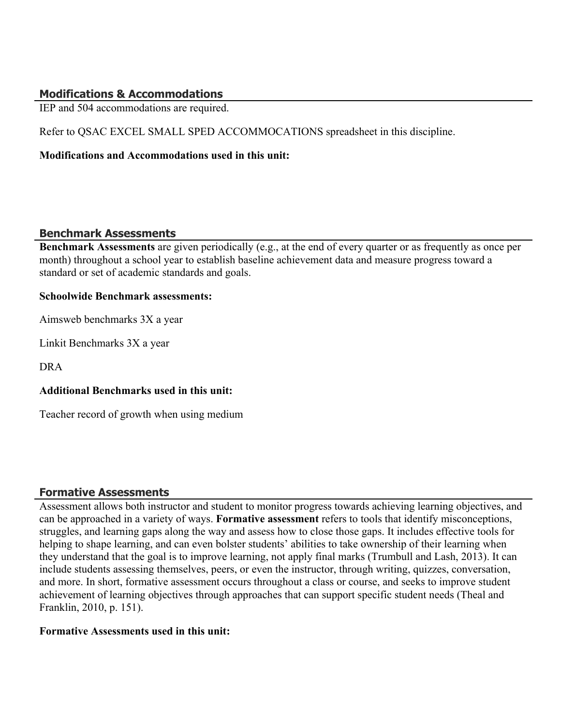## **Modifications & Accommodations**

IEP and 504 accommodations are required.

Refer to QSAC EXCEL SMALL SPED ACCOMMOCATIONS spreadsheet in this discipline.

#### **Modifications and Accommodations used in this unit:**

#### **Benchmark Assessments**

**Benchmark Assessments** are given periodically (e.g., at the end of every quarter or as frequently as once per month) throughout a school year to establish baseline achievement data and measure progress toward a standard or set of academic standards and goals.

#### **Schoolwide Benchmark assessments:**

Aimsweb benchmarks 3X a year

Linkit Benchmarks 3X a year

DRA

### **Additional Benchmarks used in this unit:**

Teacher record of growth when using medium

### **Formative Assessments**

Assessment allows both instructor and student to monitor progress towards achieving learning objectives, and can be approached in a variety of ways. **Formative assessment** refers to tools that identify misconceptions, struggles, and learning gaps along the way and assess how to close those gaps. It includes effective tools for helping to shape learning, and can even bolster students' abilities to take ownership of their learning when they understand that the goal is to improve learning, not apply final marks (Trumbull and Lash, 2013). It can include students assessing themselves, peers, or even the instructor, through writing, quizzes, conversation, and more. In short, formative assessment occurs throughout a class or course, and seeks to improve student achievement of learning objectives through approaches that can support specific student needs (Theal and Franklin, 2010, p. 151).

### **Formative Assessments used in this unit:**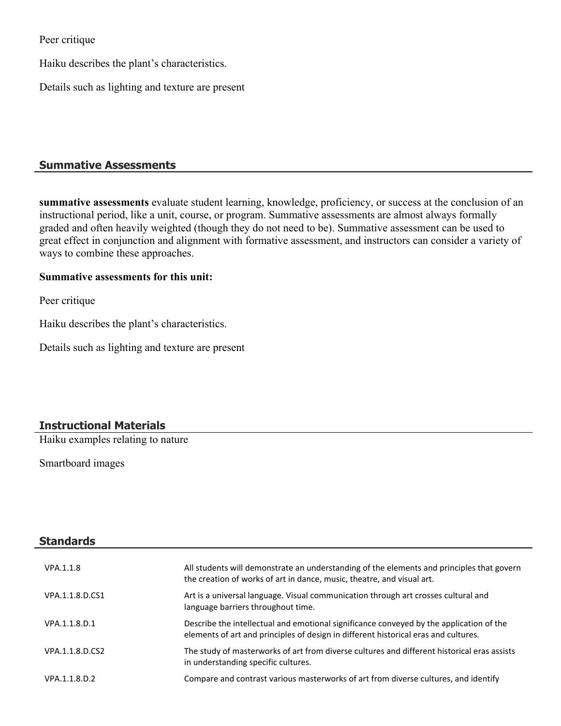Peer critique

Haiku describes the plant's characteristics.

Details such as lighting and texture are present

## **Summative Assessments**

**summative assessments** evaluate student learning, knowledge, proficiency, or success at the conclusion of an instructional period, like a unit, course, or program. Summative assessments are almost always formally graded and often heavily weighted (though they do not need to be). Summative assessment can be used to great effect in conjunction and alignment with formative assessment, and instructors can consider a variety of ways to combine these approaches.

#### **Summative assessments for this unit:**

Peer critique

Haiku describes the plant's characteristics.

Details such as lighting and texture are present

# **Instructional Materials**

Haiku examples relating to nature

Smartboard images

| <b>Standards</b> |                                                                                                                                                                                |
|------------------|--------------------------------------------------------------------------------------------------------------------------------------------------------------------------------|
| VPA.1.1.8        | All students will demonstrate an understanding of the elements and principles that govern<br>the creation of works of art in dance, music, theatre, and visual art.            |
| VPA.1.1.8.D.CS1  | Art is a universal language. Visual communication through art crosses cultural and<br>language barriers throughout time.                                                       |
| VPA.1.1.8.D.1    | Describe the intellectual and emotional significance conveyed by the application of the<br>elements of art and principles of design in different historical eras and cultures. |
| VPA.1.1.8.D.CS2  | The study of masterworks of art from diverse cultures and different historical eras assists<br>in understanding specific cultures.                                             |
| VPA.1.1.8.D.2    | Compare and contrast various masterworks of art from diverse cultures, and identify                                                                                            |